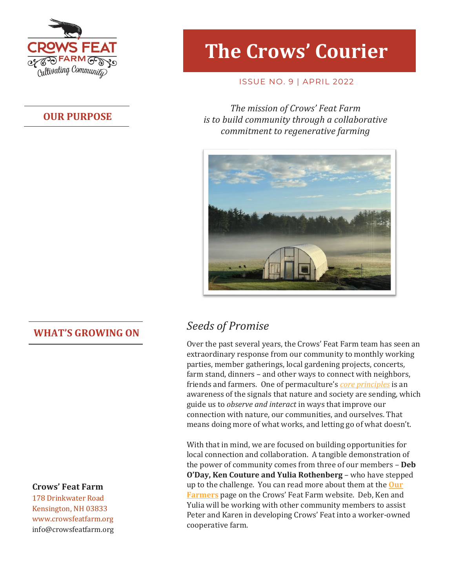

#### **OUR PURPOSE**

# **The Crows' Courier**

#### ISSUE NO. 9 | APRIL 2022

*The mission of Crows' Feat Farm is to build community through a collaborative commitment to regenerative farming*



#### **Crows' Feat Farm**

178 Drinkwater Road Kensington, NH 03833 www.crowsfeatfarm.org [info@crowsfeatfarm.org](mailto:info@crowsfeatfarm.org)

## **WHAT'S GROWING ON** *Seeds of Promise*

Over the past several years, the Crows' Feat Farm team has seen an extraordinary response from our community to monthly working parties, member gatherings, local gardening projects, concerts, farm stand, dinners – and other ways to connect with neighbors, friends and farmers. One of permaculture's *[core principles](https://permacultureprinciples.com/principles/)* is an awareness of the signals that nature and society are sending, which guide us to *observe and interact* in ways that improve our connection with nature, our communities, and ourselves. That means doing more of what works, and letting go of what doesn't.

With that in mind, we are focused on building opportunities for local connection and collaboration. A tangible demonstration of the power of community comes from three of our members – **Deb O'Day, Ken Couture and Yulia Rothenberg** – who have stepped up to the challenge. You can read more about them at the **[Our](https://crowsfeatfarm.org/our-farmers/)  [Farmers](https://crowsfeatfarm.org/our-farmers/)** page on the Crows' Feat Farm website. Deb, Ken and Yulia will be working with other community members to assist Peter and Karen in developing Crows' Feat into a worker-owned cooperative farm.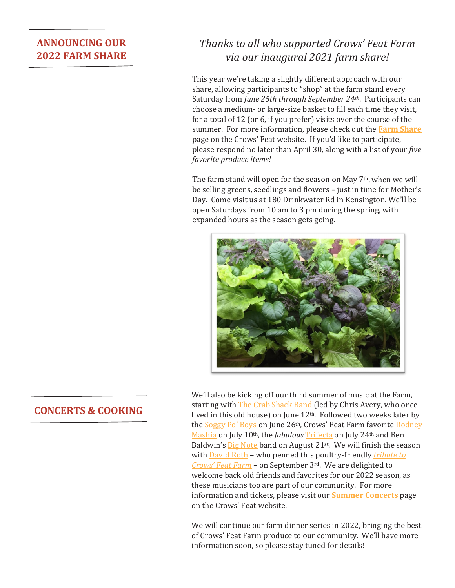#### **ANNOUNCING OUR 2022 FARM SHARE**

### *Thanks to all who supported Crows' Feat Farm via our inaugural 2021 farm share!*

This year we're taking a slightly different approach with our share, allowing participants to "shop" at the farm stand every Saturday from *June 25th through September 24th*. Participants can choose a medium- or large-size basket to fill each time they visit, for a total of 12 (or 6, if you prefer) visits over the course of the summer. For more information, please check out the **[Farm Share](https://crowsfeatfarm.org/crows-feat-farm-share/)** page on the Crows' Feat website. If you'd like to participate, please respond no later than April 30, along with a list of your *five favorite produce items!*

The farm stand will open for the season on May 7th, when we will be selling greens, seedlings and flowers – just in time for Mother's Day. Come visit us at 180 Drinkwater Rd in Kensington. We'll be open Saturdays from 10 am to 3 pm during the spring, with expanded hours as the season gets going.



#### We'll also be kicking off our third summer of music at the Farm, starting with [The Crab Shack Band](https://thecrabshackband.com/) (led by Chris Avery, who once lived in this old house) on June 12th. Followed two weeks later by th[e Soggy Po' Boys](https://www.soggypoboys.com/) on June 26th, Crows' Feat Farm favorite Rodney [Mashia](https://www.facebook.com/rodneymashiamusic/) on July 10th, the *fabulous* [Trifecta](https://www.facebook.com/Trifecta-Band-103045351138448/) on July 24th and Ben Baldwin's **Big Note** band on August 21<sup>st</sup>. We will finish the season wit[h David Roth](https://www.davidrothmusic.com/) – who penned this poultry-friendly *[tribute to](https://crowsfeatfarm.org/wp-admin/upload.php?item=5354)  [Crows' Feat Farm](https://crowsfeatfarm.org/wp-admin/upload.php?item=5354)* – on September 3rd. We are delighted to welcome back old friends and favorites for our 2022 season, as these musicians too are part of our community. For more information and tickets, please visit our **[Summer Concerts](https://crowsfeatfarm.org/lawn-concerts/)** page on the Crows' Feat website.

We will continue our farm dinner series in 2022, bringing the best of Crows' Feat Farm produce to our community. We'll have more information soon, so please stay tuned for details!

#### **CONCERTS & COOKING**